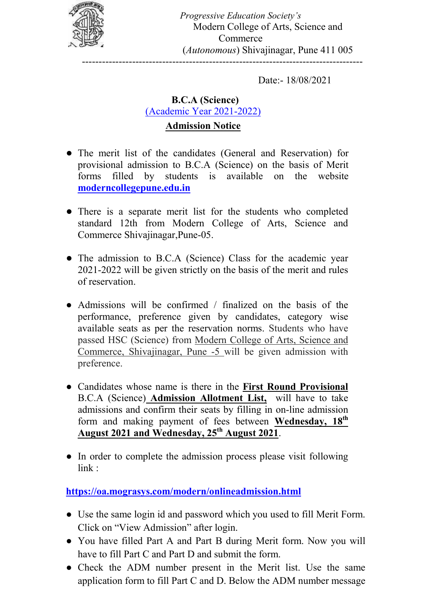

Progressive Education Society's Modern College of Arts, Science and Commerce (Autonomous) Shivajinagar, Pune 411 005 ------------------------------------------------------------------------------------

Date:- 18/08/2021

## B.C.A (Science) (Academic Year 2021-2022) Admission Notice

- The merit list of the candidates (General and Reservation) for provisional admission to B.C.A (Science) on the basis of Merit forms filled by students is available on the website moderncollegepune.edu.in
- There is a separate merit list for the students who completed standard 12th from Modern College of Arts, Science and Commerce Shivajinagar,Pune-05.
- The admission to B.C.A (Science) Class for the academic year 2021-2022 will be given strictly on the basis of the merit and rules of reservation.
- Admissions will be confirmed / finalized on the basis of the performance, preference given by candidates, category wise available seats as per the reservation norms. Students who have passed HSC (Science) from Modern College of Arts, Science and Commerce, Shivajinagar, Pune -5 will be given admission with preference.
- Candidates whose name is there in the First Round Provisional B.C.A (Science) Admission Allotment List, will have to take admissions and confirm their seats by filling in on-line admission form and making payment of fees between Wednesday, 18<sup>th</sup> August 2021 and Wednesday, 25<sup>th</sup> August 2021.
- In order to complete the admission process please visit following link :

https://oa.mograsys.com/modern/onlineadmission.html

- Use the same login id and password which you used to fill Merit Form. Click on "View Admission" after login.
- You have filled Part A and Part B during Merit form. Now you will have to fill Part C and Part D and submit the form.
- Check the ADM number present in the Merit list. Use the same application form to fill Part C and D. Below the ADM number message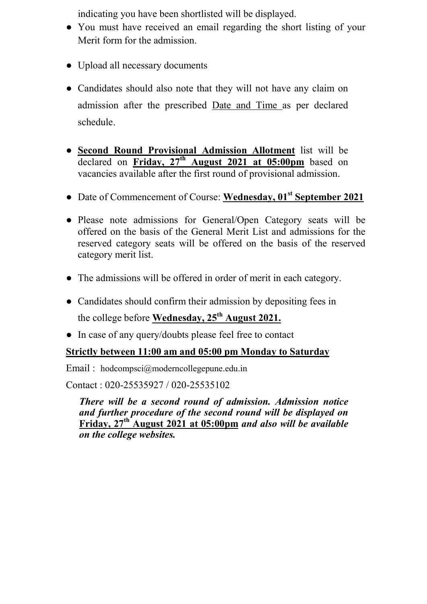indicating you have been shortlisted will be displayed.

- You must have received an email regarding the short listing of your Merit form for the admission.
- Upload all necessary documents
- Candidates should also note that they will not have any claim on admission after the prescribed Date and Time as per declared schedule.
- Second Round Provisional Admission Allotment list will be declared on Friday,  $27<sup>th</sup>$  August 2021 at 05:00pm based on vacancies available after the first round of provisional admission.
- Date of Commencement of Course: Wednesday, 01<sup>st</sup> September 2021
- Please note admissions for General/Open Category seats will be offered on the basis of the General Merit List and admissions for the reserved category seats will be offered on the basis of the reserved category merit list.
- The admissions will be offered in order of merit in each category.
- Candidates should confirm their admission by depositing fees in the college before Wednesday,  $25<sup>th</sup>$  August 2021.
- In case of any query/doubts please feel free to contact

## Strictly between 11:00 am and 05:00 pm Monday to Saturday

Email : hodcompsci@moderncollegepune.edu.in

Contact : 020-25535927 / 020-25535102

There will be a second round of admission. Admission notice and further procedure of the second round will be displayed on Friday, 27<sup>th</sup> August 2021 at 05:00pm and also will be available on the college websites.